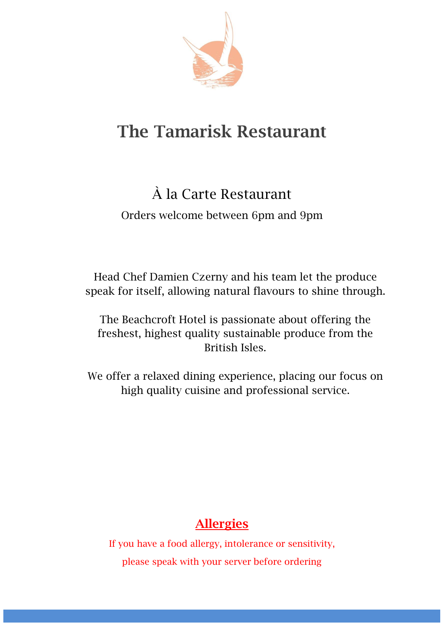

# **The Tamarisk Restaurant**

# À la Carte Restaurant

Orders welcome between 6pm and 9pm

Head Chef Damien Czerny and his team let the produce speak for itself, allowing natural flavours to shine through.

The Beachcroft Hotel is passionate about offering the freshest, highest quality sustainable produce from the British Isles.

We offer a relaxed dining experience, placing our focus on high quality cuisine and professional service.

## **Allergies**

If you have a food allergy, intolerance or sensitivity, please speak with your server before ordering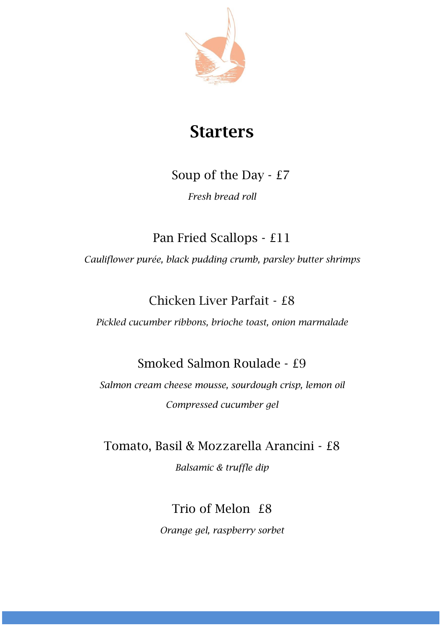

## **Starters**

#### Soup of the Day - £7

*Fresh bread roll*

Pan Fried Scallops - £11

*Cauliflower purée, black pudding crumb, parsley butter shrimps*

### Chicken Liver Parfait - £8

*Pickled cucumber ribbons, brioche toast, onion marmalade*

#### Smoked Salmon Roulade - £9

*Salmon cream cheese mousse, sourdough crisp, lemon oil Compressed cucumber gel*

Tomato, Basil & Mozzarella Arancini - £8

*Balsamic & truffle dip*

Trio of Melon £8

*Orange gel, raspberry sorbet*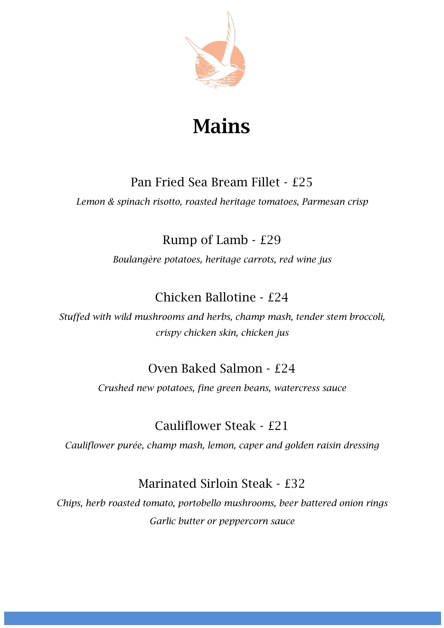

# **Mains**

#### Pan Fried Sea Bream Fillet - £25

*Lemon & spinach risotto, roasted heritage tomatoes, Parmesan crisp*

### Rump of Lamb - £29

*Boulangère potatoes, heritage carrots, red wine jus*

## Chicken Ballotine - £24

*Stuffed with wild mushrooms and herbs, champ mash, tender stem broccoli, crispy chicken skin, chicken jus*

#### Oven Baked Salmon - £24

*Crushed new potatoes, fine green beans, watercress sauce*

## Cauliflower Steak - £21

*Cauliflower purée, champ mash, lemon, caper and golden raisin dressing*

#### Marinated Sirloin Steak - £32

*Chips, herb roasted tomato, portobello mushrooms, beer battered onion rings Garlic butter or peppercorn sauce*